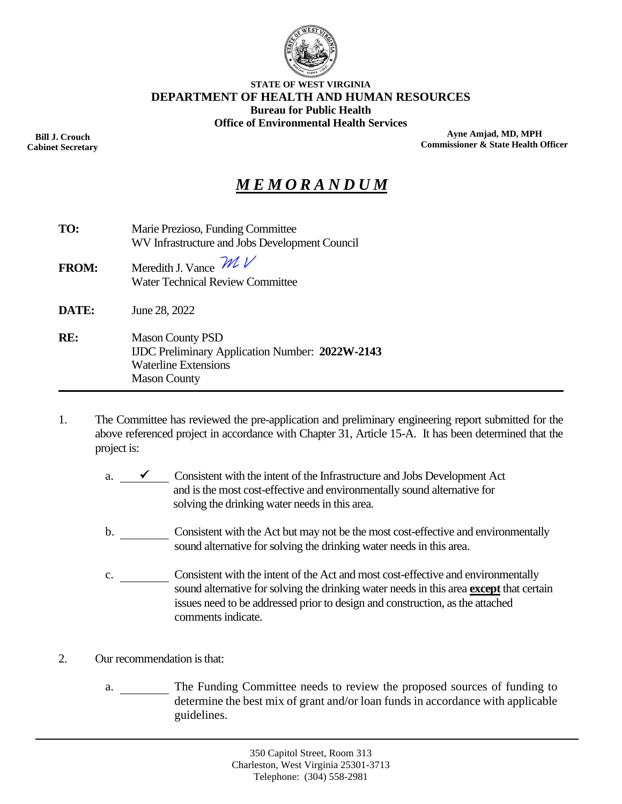

#### **STATE OF WEST VIRGINIA DEPARTMENT OF HEALTH AND HUMAN RESOURCES Bureau for Public Health Office of Environmental Health Services**

**Bill J. Crouch Cabinet Secretary**

**Ayne Amjad, MD, MPH Commissioner & State Health Officer**

# *M E M O R A N D U M*

| TO:          | Marie Prezioso, Funding Committee<br>WV Infrastructure and Jobs Development Council                                                     |  |  |  |
|--------------|-----------------------------------------------------------------------------------------------------------------------------------------|--|--|--|
| <b>FROM:</b> | Meredith J. Vance $\mathcal{W}$<br><b>Water Technical Review Committee</b>                                                              |  |  |  |
| DATE:        | June 28, 2022                                                                                                                           |  |  |  |
| RE:          | <b>Mason County PSD</b><br><b>IJDC</b> Preliminary Application Number: 2022W-2143<br><b>Waterline Extensions</b><br><b>Mason County</b> |  |  |  |

- 1. The Committee has reviewed the pre-application and preliminary engineering report submitted for the above referenced project in accordance with Chapter 31, Article 15-A. It has been determined that the project is:
	- a.  $\checkmark$  Consistent with the intent of the Infrastructure and Jobs Development Act and is the most cost-effective and environmentally sound alternative for solving the drinking water needs in this area.
	- b. Consistent with the Act but may not be the most cost-effective and environmentally sound alternative for solving the drinking water needs in this area.
	- c. Consistent with the intent of the Act and most cost-effective and environmentally sound alternative for solving the drinking water needs in this area **except** that certain issues need to be addressed prior to design and construction, as the attached comments indicate.
- 2. Our recommendation is that:
	- a. The Funding Committee needs to review the proposed sources of funding to determine the best mix of grant and/or loan funds in accordance with applicable guidelines.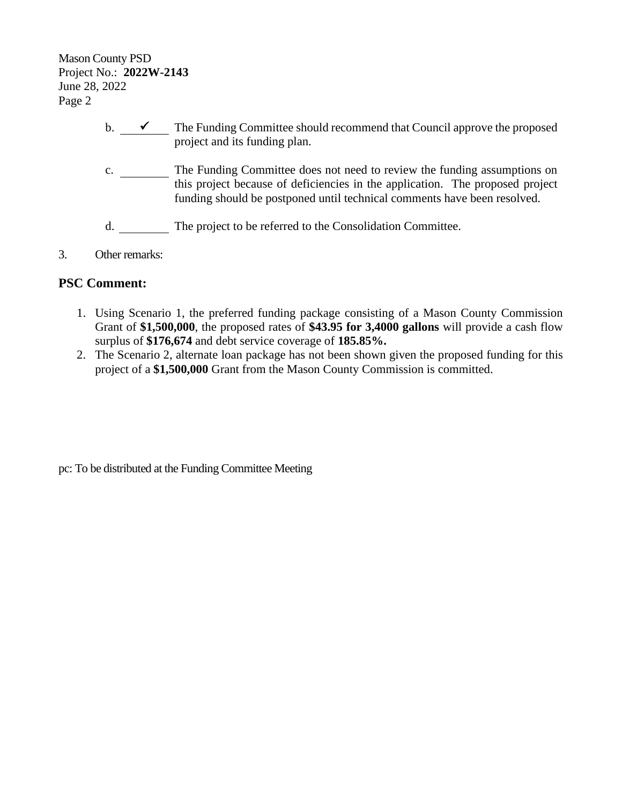Mason County PSD Project No.: **2022W-2143** June 28, 2022 Page 2

- b.  $\overline{\phantom{a}}$  The Funding Committee should recommend that Council approve the proposed project and its funding plan.
- c. The Funding Committee does not need to review the funding assumptions on this project because of deficiencies in the application. The proposed project funding should be postponed until technical comments have been resolved.
- d. The project to be referred to the Consolidation Committee.
- 3. Other remarks:

## **PSC Comment:**

- 1. Using Scenario 1, the preferred funding package consisting of a Mason County Commission Grant of **\$1,500,000**, the proposed rates of **\$43.95 for 3,4000 gallons** will provide a cash flow surplus of **\$176,674** and debt service coverage of **185.85%.**
- 2. The Scenario 2, alternate loan package has not been shown given the proposed funding for this project of a **\$1,500,000** Grant from the Mason County Commission is committed.

pc: To be distributed at the Funding Committee Meeting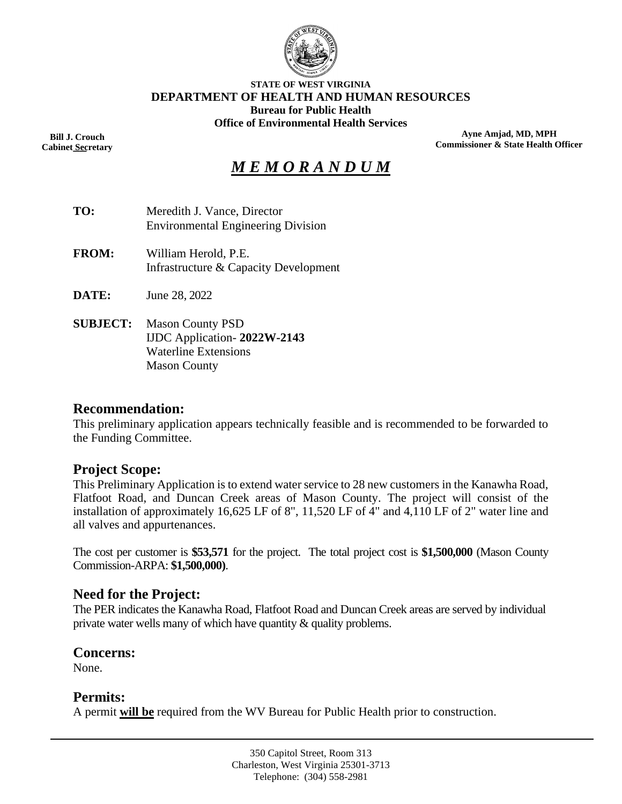

#### **STATE OF WEST VIRGINIA DEPARTMENT OF HEALTH AND HUMAN RESOURCES Bureau for Public Health Office of Environmental Health Services**

**Bill J. Crouch Cabinet Secretary** ––

**Ayne Amjad, MD, MPH Commissioner & State Health Officer**

# *M E M O R A N D U M*

| TO:             | Meredith J. Vance, Director<br><b>Environmental Engineering Division</b>              |
|-----------------|---------------------------------------------------------------------------------------|
| <b>FROM:</b>    | William Herold, P.E.<br>Infrastructure & Capacity Development                         |
| <b>DATE:</b>    | June 28, 2022                                                                         |
| <b>SUBJECT:</b> | <b>Mason County PSD</b><br>IJDC Application-2022W-2143<br><b>Waterline Extensions</b> |

Mason County

#### **Recommendation:**

This preliminary application appears technically feasible and is recommended to be forwarded to the Funding Committee.

#### **Project Scope:**

This Preliminary Application is to extend water service to 28 new customers in the Kanawha Road, Flatfoot Road, and Duncan Creek areas of Mason County. The project will consist of the installation of approximately 16,625 LF of 8", 11,520 LF of 4" and 4,110 LF of 2" water line and all valves and appurtenances.

The cost per customer is **\$53,571** for the project. The total project cost is **\$1,500,000** (Mason County Commission-ARPA: **\$1,500,000)**.

#### **Need for the Project:**

The PER indicates the Kanawha Road, Flatfoot Road and Duncan Creek areas are served by individual private water wells many of which have quantity & quality problems.

#### **Concerns:**

None.

#### **Permits:**

A permit **will be** required from the WV Bureau for Public Health prior to construction.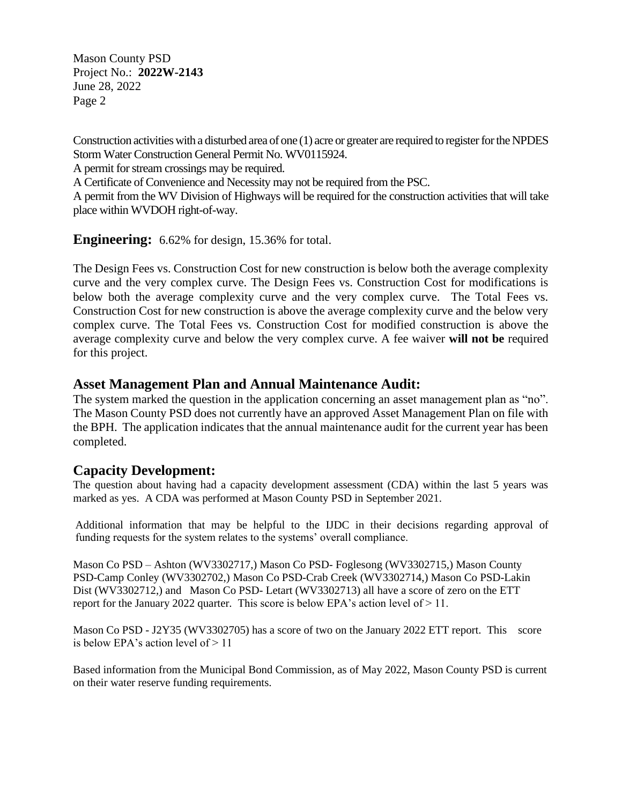Mason County PSD Project No.: **2022W-2143** June 28, 2022 Page 2

Construction activities with a disturbed area of one (1) acre or greater are required to register for the NPDES Storm Water Construction General Permit No. WV0115924.

A permit for stream crossings may be required.

A Certificate of Convenience and Necessity may not be required from the PSC.

A permit from the WV Division of Highways will be required for the construction activities that will take place within WVDOH right-of-way.

**Engineering:** 6.62% for design, 15.36% for total.

The Design Fees vs. Construction Cost for new construction is below both the average complexity curve and the very complex curve. The Design Fees vs. Construction Cost for modifications is below both the average complexity curve and the very complex curve. The Total Fees vs. Construction Cost for new construction is above the average complexity curve and the below very complex curve. The Total Fees vs. Construction Cost for modified construction is above the average complexity curve and below the very complex curve. A fee waiver **will not be** required for this project.

#### **Asset Management Plan and Annual Maintenance Audit:**

The system marked the question in the application concerning an asset management plan as "no". The Mason County PSD does not currently have an approved Asset Management Plan on file with the BPH. The application indicates that the annual maintenance audit for the current year has been completed.

#### **Capacity Development:**

The question about having had a capacity development assessment (CDA) within the last 5 years was marked as yes. A CDA was performed at Mason County PSD in September 2021.

Additional information that may be helpful to the IJDC in their decisions regarding approval of funding requests for the system relates to the systems' overall compliance.

Mason Co PSD – Ashton (WV3302717,) Mason Co PSD- Foglesong (WV3302715,) Mason County PSD-Camp Conley (WV3302702,) Mason Co PSD-Crab Creek (WV3302714,) Mason Co PSD-Lakin Dist (WV3302712,) and Mason Co PSD- Letart (WV3302713) all have a score of zero on the ETT report for the January 2022 quarter. This score is below EPA's action level of  $> 11$ .

Mason Co PSD - J2Y35 (WV3302705) has a score of two on the January 2022 ETT report. This score is below EPA's action level of  $> 11$ 

Based information from the Municipal Bond Commission, as of May 2022, Mason County PSD is current on their water reserve funding requirements.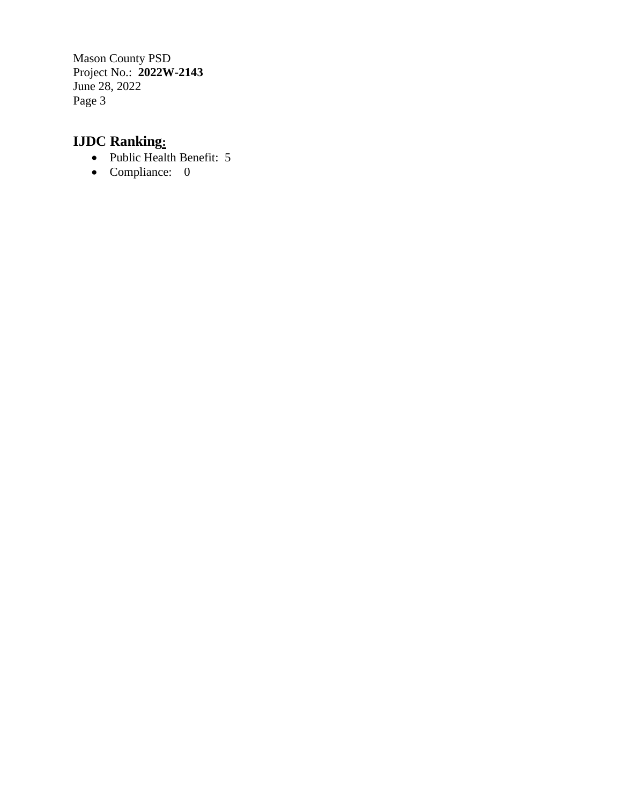Mason County PSD Project No.: **2022W-2143** June 28, 2022 Page 3

# **IJDC Ranking:**

- Public Health Benefit: 5
- Compliance: 0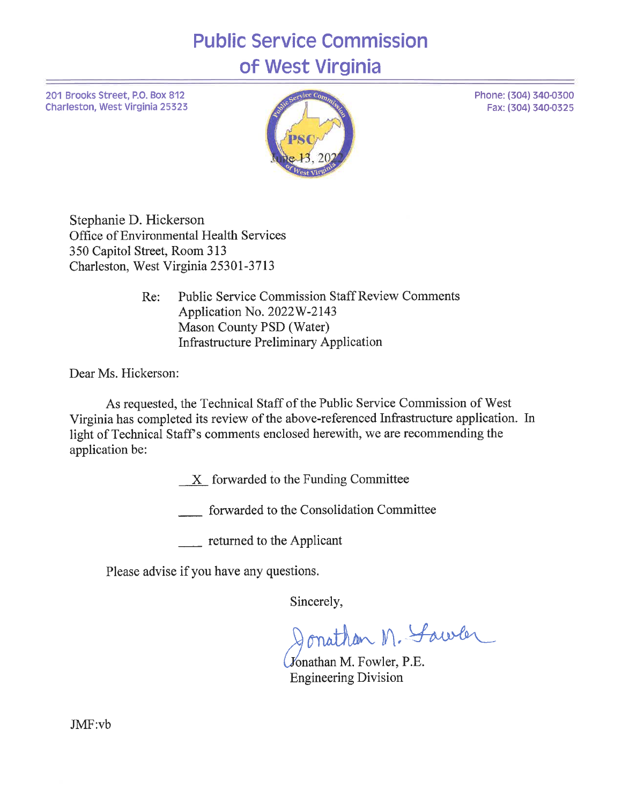# **Public Service Commission** of West Virginia

201 Brooks Street, P.O. Box 812 Charleston, West Virginia 25323



Stephanie D. Hickerson Office of Environmental Health Services 350 Capitol Street, Room 313 Charleston, West Virginia 25301-3713

> **Public Service Commission Staff Review Comments** Re: Application No. 2022W-2143 Mason County PSD (Water) **Infrastructure Preliminary Application**

Dear Ms. Hickerson:

As requested, the Technical Staff of the Public Service Commission of West Virginia has completed its review of the above-referenced Infrastructure application. In light of Technical Staff's comments enclosed herewith, we are recommending the application be:

X forwarded to the Funding Committee

forwarded to the Consolidation Committee

 $\frac{1}{\sqrt{1-\frac{1}{\sqrt{1-\frac{1}{\sqrt{1-\frac{1}{\sqrt{1-\frac{1}{\sqrt{1-\frac{1}{\sqrt{1-\frac{1}{\sqrt{1-\frac{1}{\sqrt{1-\frac{1}{\sqrt{1-\frac{1}{\sqrt{1-\frac{1}{\sqrt{1-\frac{1}{\sqrt{1-\frac{1}{\sqrt{1-\frac{1}{\sqrt{1-\frac{1}{\sqrt{1-\frac{1}{\sqrt{1-\frac{1}{\sqrt{1-\frac{1}{\sqrt{1-\frac{1}{\sqrt{1-\frac{1}{\sqrt{1-\frac{1}{\sqrt{1-\frac{1}{\sqrt{1-\frac{1}{\sqrt{1-\frac{1}{\sqrt{1-\frac{1$ 

Please advise if you have any questions.

Sincerely,

Jonathan M. Sawler

Jonathan M. Fowler, P.E. **Engineering Division** 

Phone: (304) 340-0300 Fax: (304) 340-0325

 $JMF:vb$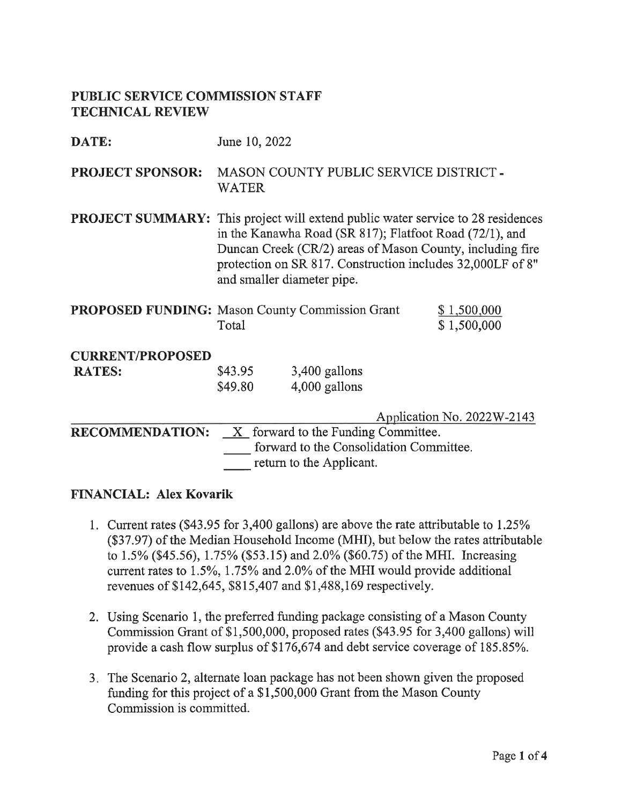## PUBLIC SERVICE COMMISSION STAFF **TECHNICAL REVIEW**

| DATE:                   | June 10, 2022                                                                                                                                                                                                                                                                                              |                                         |  |  |  |  |  |
|-------------------------|------------------------------------------------------------------------------------------------------------------------------------------------------------------------------------------------------------------------------------------------------------------------------------------------------------|-----------------------------------------|--|--|--|--|--|
| <b>PROJECT SPONSOR:</b> | MASON COUNTY PUBLIC SERVICE DISTRICT -<br>WATER                                                                                                                                                                                                                                                            |                                         |  |  |  |  |  |
|                         | <b>PROJECT SUMMARY:</b> This project will extend public water service to 28 residences<br>in the Kanawha Road (SR 817); Flatfoot Road (72/1), and<br>Duncan Creek (CR/2) areas of Mason County, including fire<br>protection on SR 817. Construction includes 32,000LF of 8"<br>and smaller diameter pipe. |                                         |  |  |  |  |  |
|                         | <b>PROPOSED FUNDING:</b> Mason County Commission Grant<br>\$1,500,000<br>Total<br>\$1,500,000                                                                                                                                                                                                              |                                         |  |  |  |  |  |
| <b>CURRENT/PROPOSED</b> |                                                                                                                                                                                                                                                                                                            |                                         |  |  |  |  |  |
| <b>RATES:</b>           | $3,400$ gallons<br>\$43.95<br>4,000 gallons<br>\$49.80                                                                                                                                                                                                                                                     |                                         |  |  |  |  |  |
|                         | Application No. 2022W-2143                                                                                                                                                                                                                                                                                 |                                         |  |  |  |  |  |
| <b>RECOMMENDATION:</b>  | X forward to the Funding Committee.                                                                                                                                                                                                                                                                        |                                         |  |  |  |  |  |
|                         |                                                                                                                                                                                                                                                                                                            | forward to the Consolidation Committee. |  |  |  |  |  |
|                         |                                                                                                                                                                                                                                                                                                            | return to the Applicant.                |  |  |  |  |  |

#### **FINANCIAL: Alex Kovarik**

- 1. Current rates (\$43.95 for 3,400 gallons) are above the rate attributable to 1.25% (\$37.97) of the Median Household Income (MHI), but below the rates attributable to 1.5% (\$45.56), 1.75% (\$53.15) and 2.0% (\$60.75) of the MHI. Increasing current rates to 1.5%, 1.75% and 2.0% of the MHI would provide additional revenues of \$142,645, \$815,407 and \$1,488,169 respectively.
- 2. Using Scenario 1, the preferred funding package consisting of a Mason County Commission Grant of \$1,500,000, proposed rates (\$43.95 for 3,400 gallons) will provide a cash flow surplus of \$176,674 and debt service coverage of 185.85%.
- 3. The Scenario 2, alternate loan package has not been shown given the proposed funding for this project of a \$1,500,000 Grant from the Mason County Commission is committed.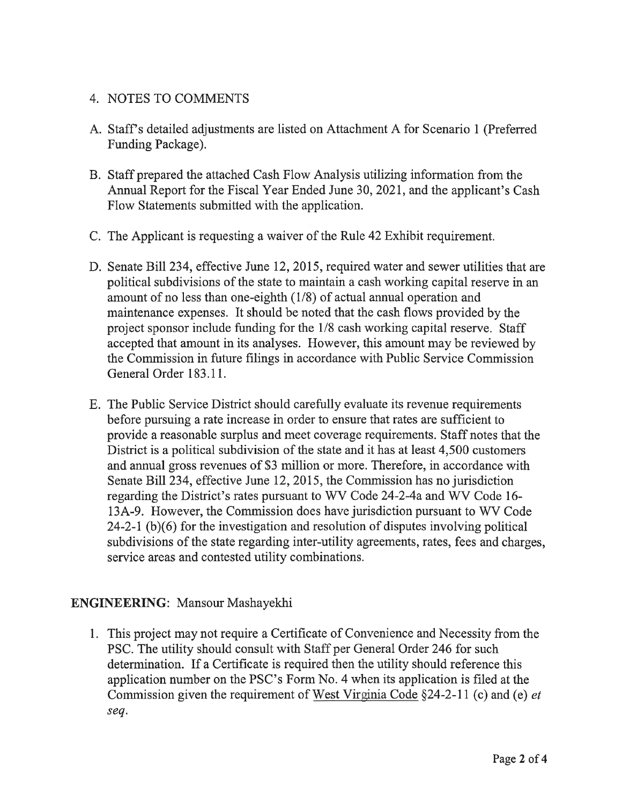## 4. NOTES TO COMMENTS

- A. Staff's detailed adjustments are listed on Attachment A for Scenario 1 (Preferred Funding Package).
- B. Staff prepared the attached Cash Flow Analysis utilizing information from the Annual Report for the Fiscal Year Ended June 30, 2021, and the applicant's Cash Flow Statements submitted with the application.
- C. The Applicant is requesting a waiver of the Rule 42 Exhibit requirement.
- D. Senate Bill 234, effective June 12, 2015, required water and sewer utilities that are political subdivisions of the state to maintain a cash working capital reserve in an amount of no less than one-eighth (1/8) of actual annual operation and maintenance expenses. It should be noted that the cash flows provided by the project sponsor include funding for the 1/8 cash working capital reserve. Staff accepted that amount in its analyses. However, this amount may be reviewed by the Commission in future filings in accordance with Public Service Commission General Order 183.11.
- E. The Public Service District should carefully evaluate its revenue requirements before pursuing a rate increase in order to ensure that rates are sufficient to provide a reasonable surplus and meet coverage requirements. Staff notes that the District is a political subdivision of the state and it has at least 4,500 customers and annual gross revenues of \$3 million or more. Therefore, in accordance with Senate Bill 234, effective June 12, 2015, the Commission has no jurisdiction regarding the District's rates pursuant to WV Code 24-2-4a and WV Code 16-13A-9. However, the Commission does have jurisdiction pursuant to WV Code  $24-2-1$  (b)(6) for the investigation and resolution of disputes involving political subdivisions of the state regarding inter-utility agreements, rates, fees and charges, service areas and contested utility combinations.

## **ENGINEERING:** Mansour Mashayekhi

1. This project may not require a Certificate of Convenience and Necessity from the PSC. The utility should consult with Staff per General Order 246 for such determination. If a Certificate is required then the utility should reference this application number on the PSC's Form No. 4 when its application is filed at the Commission given the requirement of West Virginia Code §24-2-11 (c) and (e) *et* seq.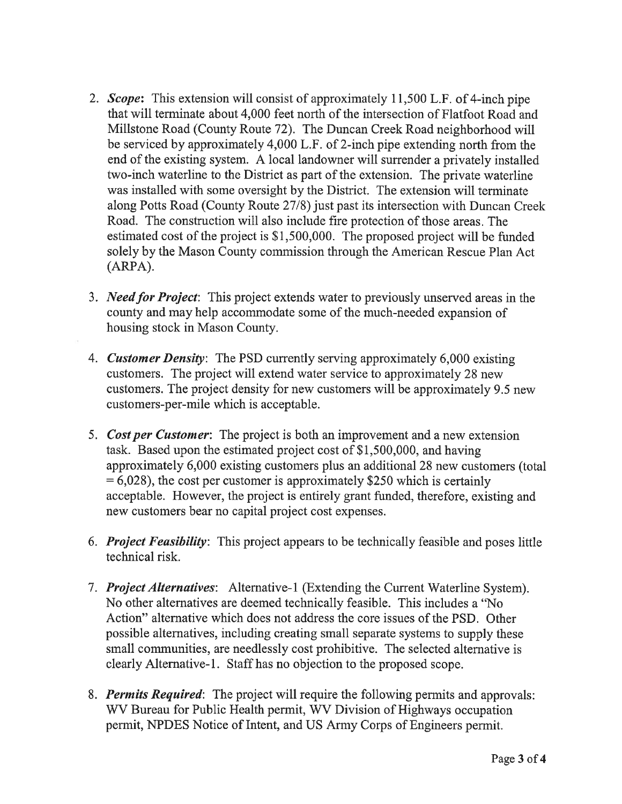- 2. Scope: This extension will consist of approximately 11,500 L.F. of 4-inch pipe that will terminate about 4,000 feet north of the intersection of Flatfoot Road and Millstone Road (County Route 72). The Duncan Creek Road neighborhood will be serviced by approximately 4,000 L.F. of 2-inch pipe extending north from the end of the existing system. A local landowner will surrender a privately installed two-inch waterline to the District as part of the extension. The private waterline was installed with some oversight by the District. The extension will terminate along Potts Road (County Route 27/8) just past its intersection with Duncan Creek Road. The construction will also include fire protection of those areas. The estimated cost of the project is \$1,500,000. The proposed project will be funded solely by the Mason County commission through the American Rescue Plan Act  $(ARPA).$
- 3. Need for Project: This project extends water to previously unserved areas in the county and may help accommodate some of the much-needed expansion of housing stock in Mason County.
- 4. Customer Density: The PSD currently serving approximately 6,000 existing customers. The project will extend water service to approximately 28 new customers. The project density for new customers will be approximately 9.5 new customers-per-mile which is acceptable.
- 5. Cost per Customer: The project is both an improvement and a new extension task. Based upon the estimated project cost of \$1,500,000, and having approximately 6,000 existing customers plus an additional 28 new customers (total  $= 6,028$ , the cost per customer is approximately \$250 which is certainly acceptable. However, the project is entirely grant funded, therefore, existing and new customers bear no capital project cost expenses.
- 6. Project Feasibility: This project appears to be technically feasible and poses little technical risk.
- 7. Project Alternatives: Alternative-1 (Extending the Current Waterline System). No other alternatives are deemed technically feasible. This includes a "No Action" alternative which does not address the core issues of the PSD. Other possible alternatives, including creating small separate systems to supply these small communities, are needlessly cost prohibitive. The selected alternative is clearly Alternative-1. Staff has no objection to the proposed scope.
- 8. Permits Required: The project will require the following permits and approvals: WV Bureau for Public Health permit, WV Division of Highways occupation permit, NPDES Notice of Intent, and US Army Corps of Engineers permit.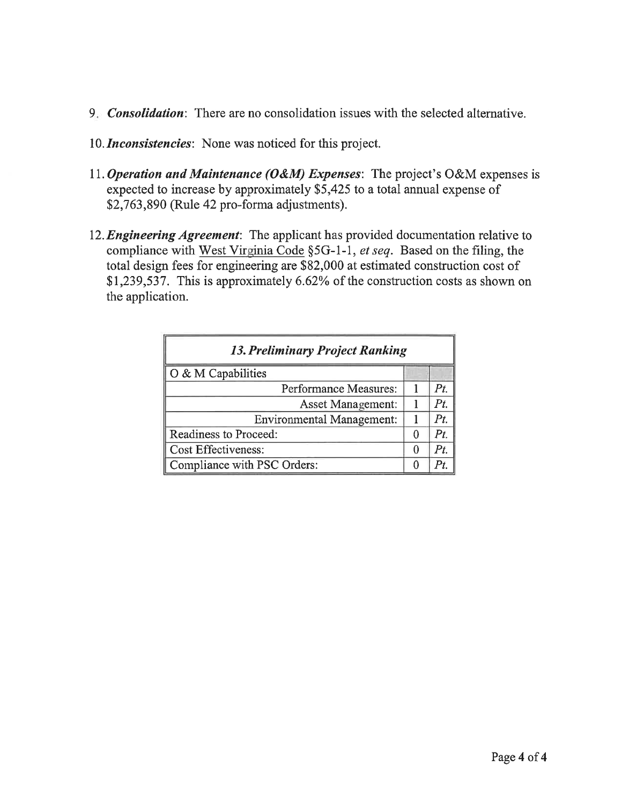- 9. *Consolidation*: There are no consolidation issues with the selected alternative.
- 10. Inconsistencies: None was noticed for this project.
- 11. Operation and Maintenance (O&M) Expenses: The project's O&M expenses is expected to increase by approximately \$5,425 to a total annual expense of \$2,763,890 (Rule 42 pro-forma adjustments).
- 12. Engineering Agreement: The applicant has provided documentation relative to compliance with West Virginia Code §5G-1-1, et seq. Based on the filing, the total design fees for engineering are \$82,000 at estimated construction cost of \$1,239,537. This is approximately 6.62% of the construction costs as shown on the application.

| <b>13. Preliminary Project Ranking</b> |  |     |  |  |  |  |
|----------------------------------------|--|-----|--|--|--|--|
| O & M Capabilities                     |  |     |  |  |  |  |
| Performance Measures:                  |  | Pt. |  |  |  |  |
| <b>Asset Management:</b>               |  | Pt  |  |  |  |  |
| <b>Environmental Management:</b>       |  | Pt  |  |  |  |  |
| Readiness to Proceed:                  |  | Pt  |  |  |  |  |
| <b>Cost Effectiveness:</b>             |  |     |  |  |  |  |
| Compliance with PSC Orders:            |  |     |  |  |  |  |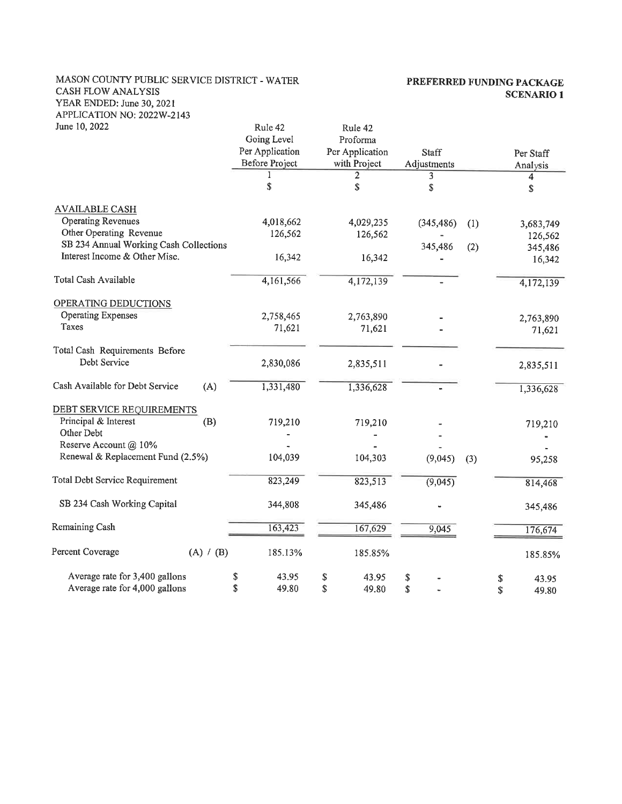#### MASON COUNTY PUBLIC SERVICE DISTRICT - WATER CASH FLOW ANALYSIS YEAR ENDED: June 30, 2021 APPLICATION NO: 2022W-2143

#### PREFERRED FUNDING PACKAGE **SCENARIO 1**

| June 10, 2022                          | Rule 42<br>Going Level                   | Rule 42<br>Proforma             |                      |     |                       |
|----------------------------------------|------------------------------------------|---------------------------------|----------------------|-----|-----------------------|
|                                        | Per Application<br><b>Before Project</b> | Per Application<br>with Project | Staff<br>Adjustments |     | Per Staff<br>Analysis |
|                                        |                                          | 2                               | 3                    |     | 4                     |
|                                        | S                                        | \$                              | \$                   |     | \$                    |
| <b>AVAILABLE CASH</b>                  |                                          |                                 |                      |     |                       |
| <b>Operating Revenues</b>              | 4,018,662                                | 4,029,235                       | (345, 486)           | (1) | 3,683,749             |
| Other Operating Revenue                | 126,562                                  | 126,562                         |                      |     | 126,562               |
| SB 234 Annual Working Cash Collections |                                          |                                 | 345,486              | (2) | 345,486               |
| Interest Income & Other Misc.          | 16,342                                   | 16,342                          |                      |     | 16,342                |
| Total Cash Available                   | 4,161,566                                | 4,172,139                       |                      |     | 4,172,139             |
| OPERATING DEDUCTIONS                   |                                          |                                 |                      |     |                       |
| <b>Operating Expenses</b>              | 2,758,465                                | 2,763,890                       |                      |     | 2,763,890             |
| Taxes                                  | 71,621                                   | 71,621                          |                      |     | 71,621                |
| Total Cash Requirements Before         |                                          |                                 |                      |     |                       |
| Debt Service                           | 2,830,086                                | 2,835,511                       |                      |     | 2,835,511             |
| Cash Available for Debt Service<br>(A) | 1,331,480                                | 1,336,628                       |                      |     | 1,336,628             |
| DEBT SERVICE REQUIREMENTS              |                                          |                                 |                      |     |                       |
| Principal & Interest<br>(B)            | 719,210                                  | 719,210                         |                      |     | 719,210               |
| Other Debt                             |                                          |                                 |                      |     |                       |
| Reserve Account @ 10%                  |                                          |                                 |                      |     |                       |
| Renewal & Replacement Fund (2.5%)      | 104,039                                  | 104,303                         | (9,045)              | (3) | 95,258                |
| Total Debt Service Requirement         | 823,249                                  | 823,513                         | (9,045)              |     | 814,468               |
| SB 234 Cash Working Capital            | 344,808                                  | 345,486                         |                      |     | 345,486               |
| Remaining Cash                         | 163,423                                  | 167,629                         | 9,045                |     | 176,674               |
| Percent Coverage<br>(A) / (B)          | 185.13%                                  | 185.85%                         |                      |     | 185.85%               |
| Average rate for 3,400 gallons         | \$<br>43.95                              | \$<br>43.95                     | \$                   |     | 43.95<br>\$           |
| Average rate for 4,000 gallons         | \$<br>49.80                              | \$<br>49.80                     | \$                   |     | \$<br>49.80           |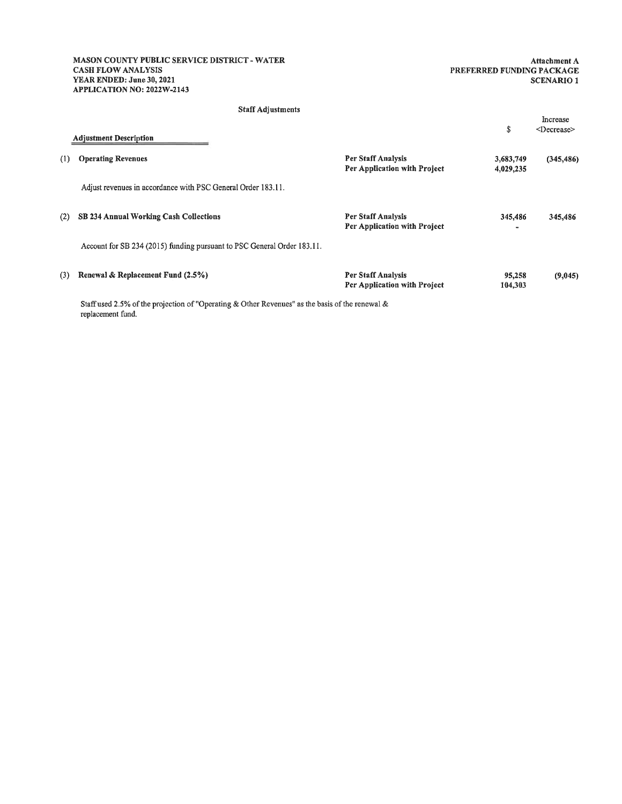MASON COUNTY PUBLIC SERVICE DISTRICT - WATER **CASH FLOW ANALYSIS** YEAR ENDED: June 30, 2021 APPLICATION NO: 2022W-2143

Attachment A PREFERRED FUNDING PACKAGE **SCENARIO 1** 

#### **Staff Adjustments**

|     | <b>Adjustment Description</b>                                                                   |                                                    | \$                     | Increase<br><decrease></decrease> |
|-----|-------------------------------------------------------------------------------------------------|----------------------------------------------------|------------------------|-----------------------------------|
| (1) | <b>Operating Revenues</b>                                                                       | Per Staff Analysis<br>Per Application with Project | 3,683,749<br>4,029,235 | (345, 486)                        |
|     | Adjust revenues in accordance with PSC General Order 183.11.                                    |                                                    |                        |                                   |
| (2) | SB 234 Annual Working Cash Collections                                                          | Per Staff Analysis<br>Per Application with Project | 345,486                | 345,486                           |
|     | Account for SB 234 (2015) funding pursuant to PSC General Order 183.11.                         |                                                    |                        |                                   |
| (3) | Renewal & Replacement Fund (2.5%)                                                               | Per Staff Analysis<br>Per Application with Project | 95,258<br>104,303      | (9,045)                           |
|     | Staff used 2.5% of the projection of "Operating & Other Revenues" as the basis of the renewal & |                                                    |                        |                                   |

proje ion or "Operating" replacement fund.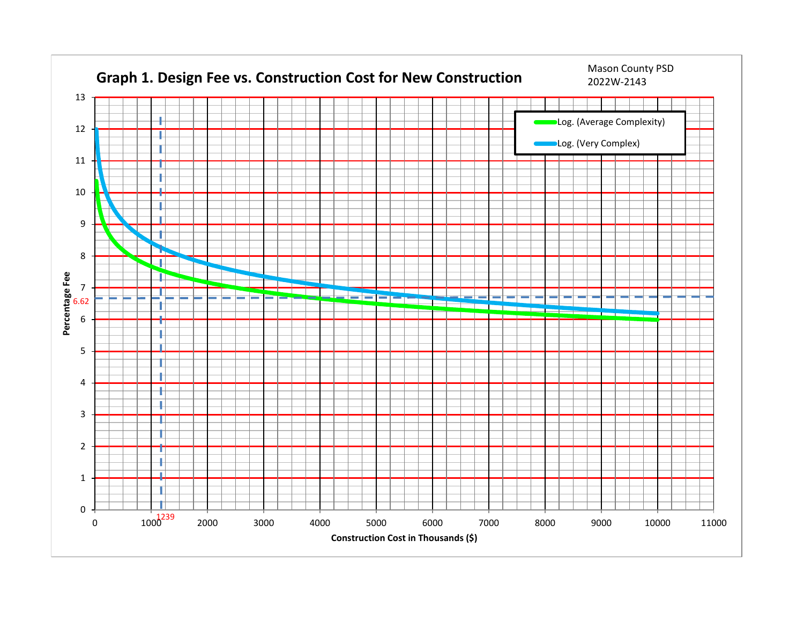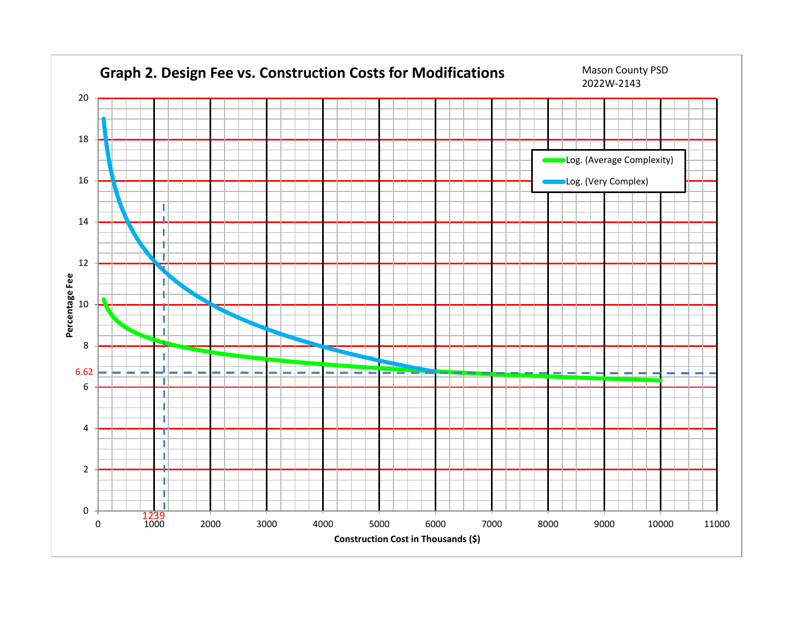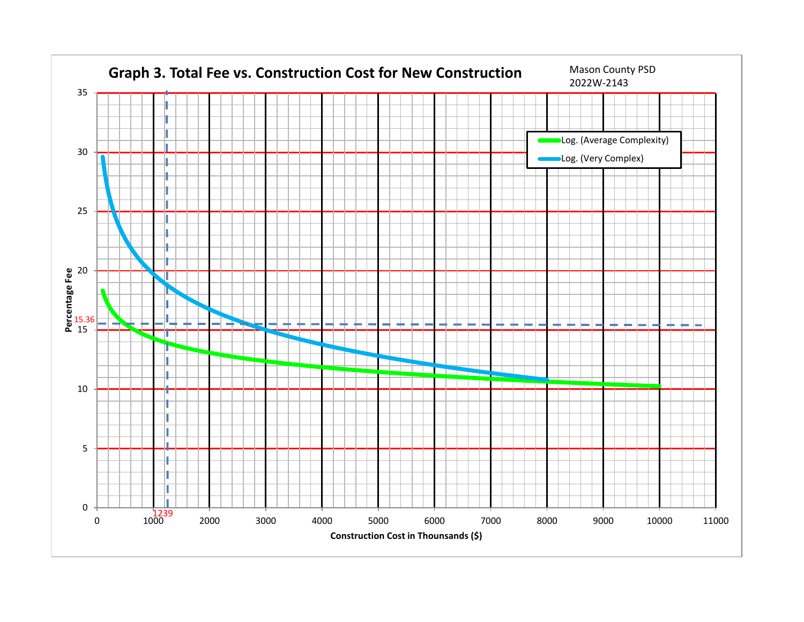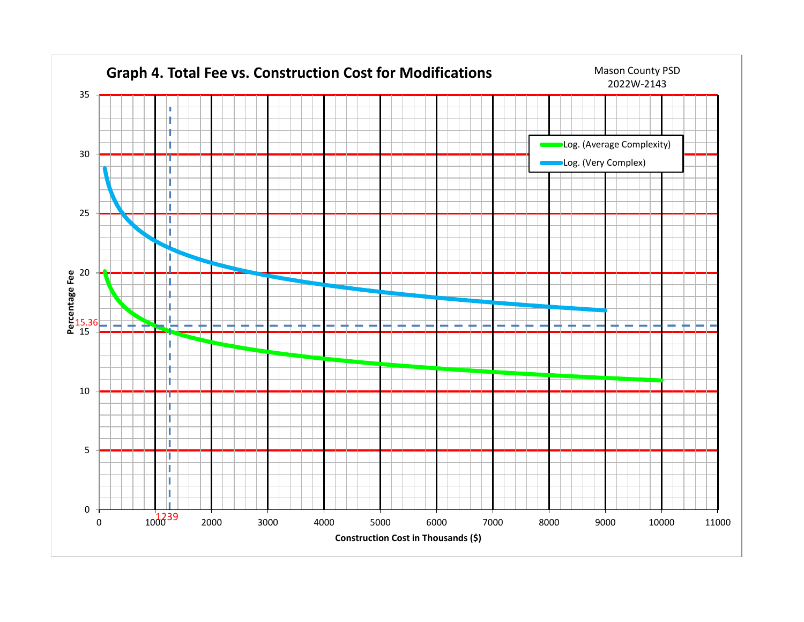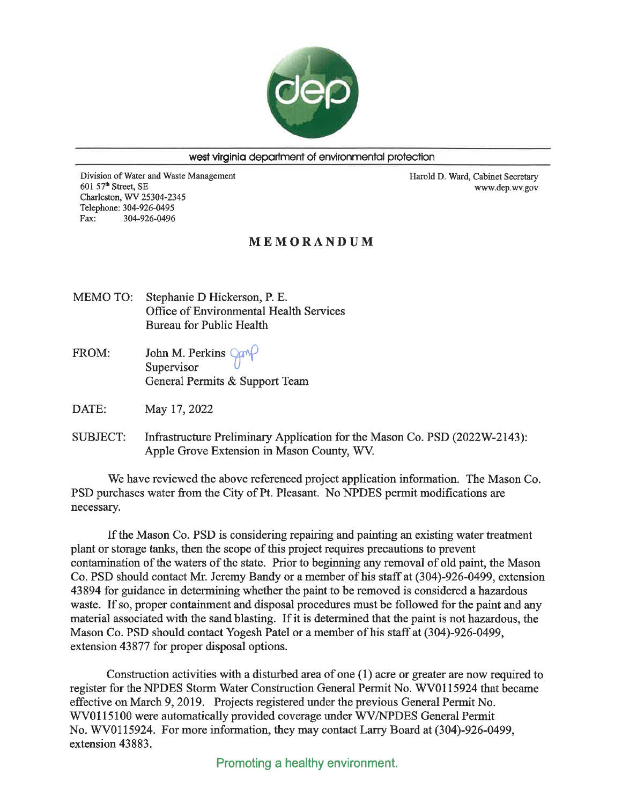

west virginia department of environmental protection

Division of Water and Waste Management 601 57th Street, SE Charleston, WV 25304-2345 Telephone: 304-926-0495 304-926-0496 Fax:

Harold D. Ward, Cabinet Secretary www.dep.wv.gov

#### MEMORANDUM

- MEMO TO: Stephanie D Hickerson, P. E. Office of Environmental Health Services Bureau for Public Health
- John M. Perkins Car FROM: Supervisor General Permits & Support Team

DATE: May 17, 2022

**SUBJECT:** Infrastructure Preliminary Application for the Mason Co. PSD (2022W-2143): Apple Grove Extension in Mason County, WV.

We have reviewed the above referenced project application information. The Mason Co. PSD purchases water from the City of Pt. Pleasant. No NPDES permit modifications are necessary.

If the Mason Co. PSD is considering repairing and painting an existing water treatment plant or storage tanks, then the scope of this project requires precautions to prevent contamination of the waters of the state. Prior to beginning any removal of old paint, the Mason Co. PSD should contact Mr. Jeremy Bandy or a member of his staff at (304)-926-0499, extension 43894 for guidance in determining whether the paint to be removed is considered a hazardous waste. If so, proper containment and disposal procedures must be followed for the paint and any material associated with the sand blasting. If it is determined that the paint is not hazardous, the Mason Co. PSD should contact Yogesh Patel or a member of his staff at (304)-926-0499, extension 43877 for proper disposal options.

Construction activities with a disturbed area of one  $(1)$  acre or greater are now required to register for the NPDES Storm Water Construction General Permit No. WV0115924 that became effective on March 9, 2019. Projects registered under the previous General Permit No. WV0115100 were automatically provided coverage under WV/NPDES General Permit No. WV0115924. For more information, they may contact Larry Board at (304)-926-0499, extension 43883.

Promoting a healthy environment.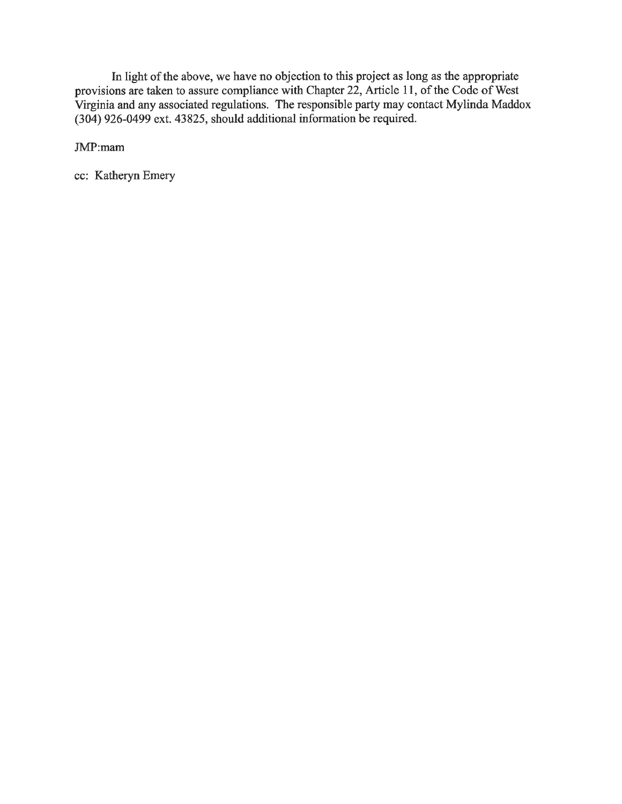In light of the above, we have no objection to this project as long as the appropriate provisions are taken to assure compliance with Chapter 22, Article 11, of the Code of West Virginia and any associated regulations. The responsible party may contact Mylinda Maddox (304) 926-0499 ext. 43825, should additional information be required.

JMP:mam

cc: Katheryn Emery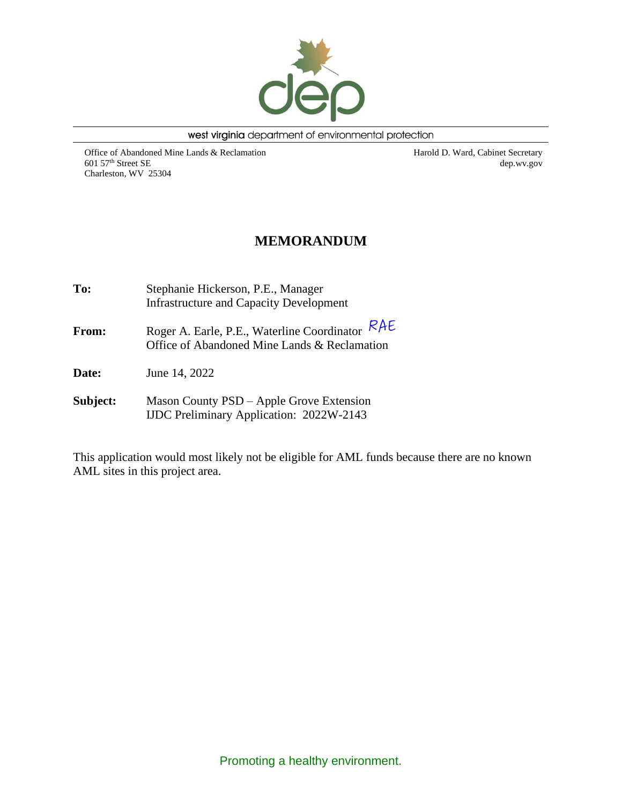

west virginia department of environmental protection

Office of Abandoned Mine Lands & Reclamation 601 57th Street SE Charleston, WV 25304

Harold D. Ward, Cabinet Secretary dep.wv.gov

## **MEMORANDUM**

| To:          | Stephanie Hickerson, P.E., Manager<br><b>Infrastructure and Capacity Development</b>            |  |  |  |  |  |
|--------------|-------------------------------------------------------------------------------------------------|--|--|--|--|--|
| <b>From:</b> | Roger A. Earle, P.E., Waterline Coordinator RAE<br>Office of Abandoned Mine Lands & Reclamation |  |  |  |  |  |
| <b>Date:</b> | June 14, 2022                                                                                   |  |  |  |  |  |
| Subject:     | Mason County PSD - Apple Grove Extension<br><b>IJDC</b> Preliminary Application: 2022W-2143     |  |  |  |  |  |

This application would most likely not be eligible for AML funds because there are no known AML sites in this project area.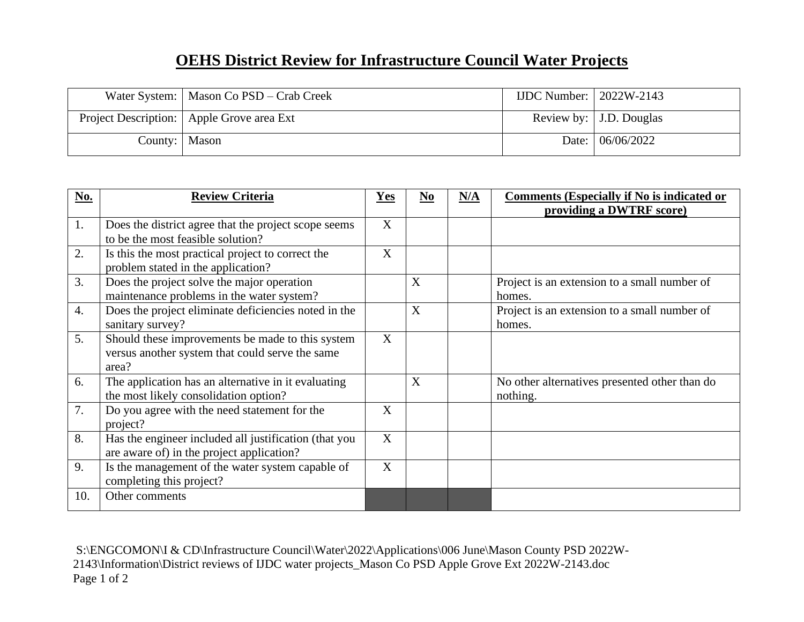# **OEHS District Review for Infrastructure Council Water Projects**

|                 | Water System:   Mason Co PSD – Crab Creek   | IJDC Number: $\vert$ 2022W-2143 |                           |
|-----------------|---------------------------------------------|---------------------------------|---------------------------|
|                 | Project Description:   Apple Grove area Ext |                                 | Review by:   J.D. Douglas |
| County:   Mason |                                             |                                 | Date: 06/06/2022          |

| No. | <b>Review Criteria</b>                                                                                       | Yes | N <sub>0</sub> | N/A | <b>Comments (Especially if No is indicated or</b><br>providing a DWTRF score) |
|-----|--------------------------------------------------------------------------------------------------------------|-----|----------------|-----|-------------------------------------------------------------------------------|
| 1.  | Does the district agree that the project scope seems<br>to be the most feasible solution?                    | X   |                |     |                                                                               |
| 2.  | Is this the most practical project to correct the<br>problem stated in the application?                      | X   |                |     |                                                                               |
| 3.  | Does the project solve the major operation<br>maintenance problems in the water system?                      |     | X              |     | Project is an extension to a small number of<br>homes.                        |
| 4.  | Does the project eliminate deficiencies noted in the<br>sanitary survey?                                     |     | X              |     | Project is an extension to a small number of<br>homes.                        |
| 5.  | Should these improvements be made to this system<br>versus another system that could serve the same<br>area? | X   |                |     |                                                                               |
| 6.  | The application has an alternative in it evaluating<br>the most likely consolidation option?                 |     | X              |     | No other alternatives presented other than do<br>nothing.                     |
| 7.  | Do you agree with the need statement for the<br>project?                                                     | X   |                |     |                                                                               |
| 8.  | Has the engineer included all justification (that you<br>are aware of) in the project application?           | X   |                |     |                                                                               |
| 9.  | Is the management of the water system capable of<br>completing this project?                                 | X   |                |     |                                                                               |
| 10. | Other comments                                                                                               |     |                |     |                                                                               |

S:\ENGCOMON\I & CD\Infrastructure Council\Water\2022\Applications\006 June\Mason County PSD 2022W-2143\Information\District reviews of IJDC water projects\_Mason Co PSD Apple Grove Ext 2022W-2143.doc Page 1 of 2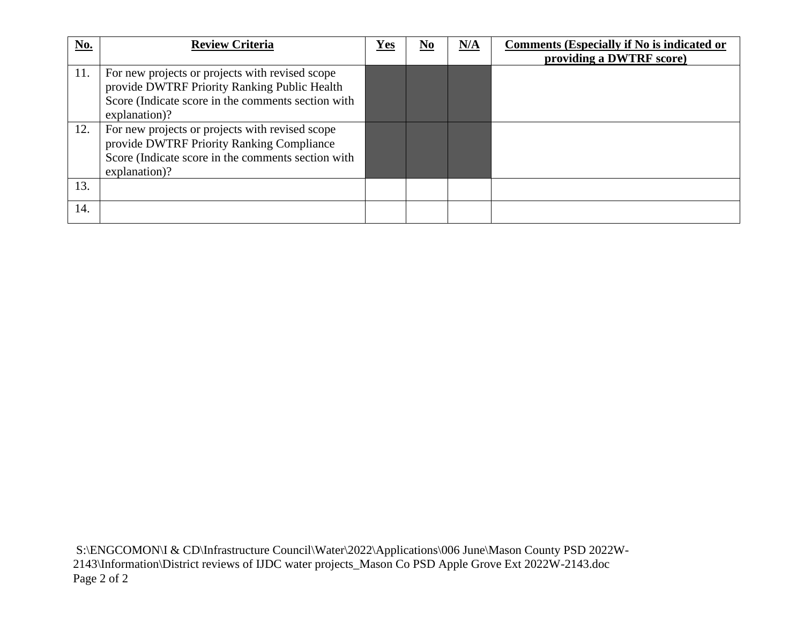| No. | <b>Review Criteria</b>                                                                                                                                                 | Yes | $\underline{\mathbf{N}\mathbf{0}}$ | N/A | <b>Comments (Especially if No is indicated or</b><br>providing a DWTRF score) |
|-----|------------------------------------------------------------------------------------------------------------------------------------------------------------------------|-----|------------------------------------|-----|-------------------------------------------------------------------------------|
| 11. | For new projects or projects with revised scope<br>provide DWTRF Priority Ranking Public Health<br>Score (Indicate score in the comments section with<br>explanation)? |     |                                    |     |                                                                               |
| 12. | For new projects or projects with revised scope<br>provide DWTRF Priority Ranking Compliance<br>Score (Indicate score in the comments section with<br>explanation)?    |     |                                    |     |                                                                               |
| 13. |                                                                                                                                                                        |     |                                    |     |                                                                               |
| 14. |                                                                                                                                                                        |     |                                    |     |                                                                               |